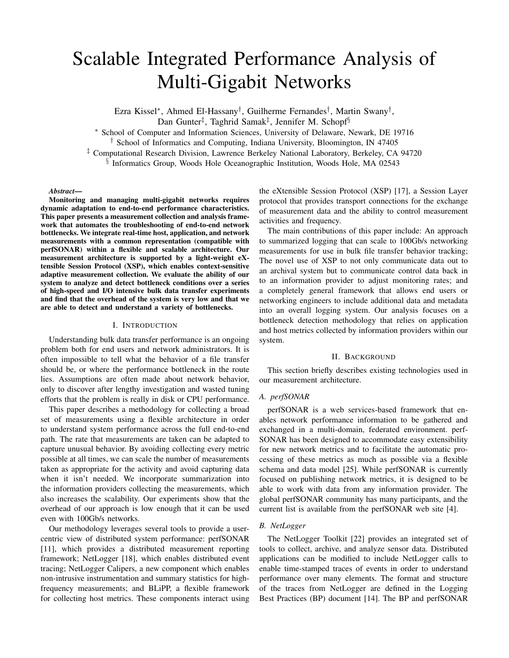# Scalable Integrated Performance Analysis of Multi-Gigabit Networks

Ezra Kissel<sup>∗</sup> , Ahmed El-Hassany† , Guilherme Fernandes† , Martin Swany† , Dan Gunter<sup>‡</sup>, Taghrid Samak<sup>‡</sup>, Jennifer M. Schopf<sup>§</sup>

<sup>∗</sup> School of Computer and Information Sciences, University of Delaware, Newark, DE 19716

† School of Informatics and Computing, Indiana University, Bloomington, IN 47405

‡ Computational Research Division, Lawrence Berkeley National Laboratory, Berkeley, CA 94720

§ Informatics Group, Woods Hole Oceanographic Institution, Woods Hole, MA 02543

## *Abstract*—

Monitoring and managing multi-gigabit networks requires dynamic adaptation to end-to-end performance characteristics. This paper presents a measurement collection and analysis framework that automates the troubleshooting of end-to-end network bottlenecks. We integrate real-time host, application, and network measurements with a common representation (compatible with perfSONAR) within a flexible and scalable architecture. Our measurement architecture is supported by a light-weight eXtensible Session Protocol (XSP), which enables context-sensitive adaptive measurement collection. We evaluate the ability of our system to analyze and detect bottleneck conditions over a series of high-speed and I/O intensive bulk data transfer experiments and find that the overhead of the system is very low and that we are able to detect and understand a variety of bottlenecks.

# I. INTRODUCTION

Understanding bulk data transfer performance is an ongoing problem both for end users and network administrators. It is often impossible to tell what the behavior of a file transfer should be, or where the performance bottleneck in the route lies. Assumptions are often made about network behavior, only to discover after lengthy investigation and wasted tuning efforts that the problem is really in disk or CPU performance.

This paper describes a methodology for collecting a broad set of measurements using a flexible architecture in order to understand system performance across the full end-to-end path. The rate that measurements are taken can be adapted to capture unusual behavior. By avoiding collecting every metric possible at all times, we can scale the number of measurements taken as appropriate for the activity and avoid capturing data when it isn't needed. We incorporate summarization into the information providers collecting the measurements, which also increases the scalability. Our experiments show that the overhead of our approach is low enough that it can be used even with 100Gb/s networks.

Our methodology leverages several tools to provide a usercentric view of distributed system performance: perfSONAR [11], which provides a distributed measurement reporting framework; NetLogger [18], which enables distributed event tracing; NetLogger Calipers, a new component which enables non-intrusive instrumentation and summary statistics for highfrequency measurements; and BLiPP, a flexible framework for collecting host metrics. These components interact using

the eXtensible Session Protocol (XSP) [17], a Session Layer protocol that provides transport connections for the exchange of measurement data and the ability to control measurement activities and frequency.

The main contributions of this paper include: An approach to summarized logging that can scale to 100Gb/s networking measurements for use in bulk file transfer behavior tracking; The novel use of XSP to not only communicate data out to an archival system but to communicate control data back in to an information provider to adjust monitoring rates; and a completely general framework that allows end users or networking engineers to include additional data and metadata into an overall logging system. Our analysis focuses on a bottleneck detection methodology that relies on application and host metrics collected by information providers within our system.

## II. BACKGROUND

This section briefly describes existing technologies used in our measurement architecture.

# *A. perfSONAR*

perfSONAR is a web services-based framework that enables network performance information to be gathered and exchanged in a multi-domain, federated environment. perf-SONAR has been designed to accommodate easy extensibility for new network metrics and to facilitate the automatic processing of these metrics as much as possible via a flexible schema and data model [25]. While perfSONAR is currently focused on publishing network metrics, it is designed to be able to work with data from any information provider. The global perfSONAR community has many participants, and the current list is available from the perfSONAR web site [4].

## *B. NetLogger*

The NetLogger Toolkit [22] provides an integrated set of tools to collect, archive, and analyze sensor data. Distributed applications can be modified to include NetLogger calls to enable time-stamped traces of events in order to understand performance over many elements. The format and structure of the traces from NetLogger are defined in the Logging Best Practices (BP) document [14]. The BP and perfSONAR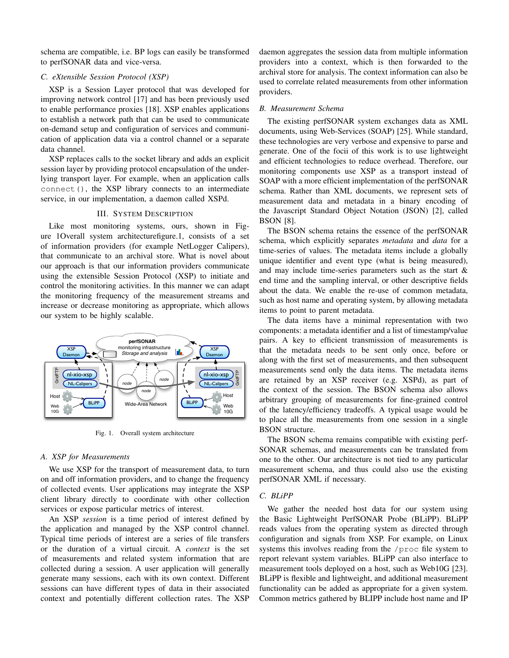schema are compatible, i.e. BP logs can easily be transformed to perfSONAR data and vice-versa.

# *C. eXtensible Session Protocol (XSP)*

XSP is a Session Layer protocol that was developed for improving network control [17] and has been previously used to enable performance proxies [18]. XSP enables applications to establish a network path that can be used to communicate on-demand setup and configuration of services and communication of application data via a control channel or a separate data channel.

XSP replaces calls to the socket library and adds an explicit session layer by providing protocol encapsulation of the underlying transport layer. For example, when an application calls connect(), the XSP library connects to an intermediate service, in our implementation, a daemon called XSPd.

# III. SYSTEM DESCRIPTION

Like most monitoring systems, ours, shown in Figure 1Overall system architecturefigure.1, consists of a set of information providers (for example NetLogger Calipers), that communicate to an archival store. What is novel about our approach is that our information providers communicate using the extensible Session Protocol (XSP) to initiate and control the monitoring activities. In this manner we can adapt the monitoring frequency of the measurement streams and increase or decrease monitoring as appropriate, which allows our system to be highly scalable.



Fig. 1. Overall system architecture

# *A. XSP for Measurements*

We use XSP for the transport of measurement data, to turn on and off information providers, and to change the frequency of collected events. User applications may integrate the XSP client library directly to coordinate with other collection services or expose particular metrics of interest.

An XSP *session* is a time period of interest defined by the application and managed by the XSP control channel. Typical time periods of interest are a series of file transfers or the duration of a virtual circuit. A *context* is the set of measurements and related system information that are collected during a session. A user application will generally generate many sessions, each with its own context. Different sessions can have different types of data in their associated context and potentially different collection rates. The XSP daemon aggregates the session data from multiple information providers into a context, which is then forwarded to the archival store for analysis. The context information can also be used to correlate related measurements from other information providers.

# *B. Measurement Schema*

The existing perfSONAR system exchanges data as XML documents, using Web-Services (SOAP) [25]. While standard, these technologies are very verbose and expensive to parse and generate. One of the focii of this work is to use lightweight and efficient technologies to reduce overhead. Therefore, our monitoring components use XSP as a transport instead of SOAP with a more efficient implementation of the perfSONAR schema. Rather than XML documents, we represent sets of measurement data and metadata in a binary encoding of the Javascript Standard Object Notation (JSON) [2], called BSON [8].

The BSON schema retains the essence of the perfSONAR schema, which explicitly separates *metadata* and *data* for a time-series of values. The metadata items include a globally unique identifier and event type (what is being measured), and may include time-series parameters such as the start & end time and the sampling interval, or other descriptive fields about the data. We enable the re-use of common metadata, such as host name and operating system, by allowing metadata items to point to parent metadata.

The data items have a minimal representation with two components: a metadata identifier and a list of timestamp/value pairs. A key to efficient transmission of measurements is that the metadata needs to be sent only once, before or along with the first set of measurements, and then subsequent measurements send only the data items. The metadata items are retained by an XSP receiver (e.g. XSPd), as part of the context of the session. The BSON schema also allows arbitrary grouping of measurements for fine-grained control of the latency/efficiency tradeoffs. A typical usage would be to place all the measurements from one session in a single BSON structure.

The BSON schema remains compatible with existing perf-SONAR schemas, and measurements can be translated from one to the other. Our architecture is not tied to any particular measurement schema, and thus could also use the existing perfSONAR XML if necessary.

# *C. BLiPP*

We gather the needed host data for our system using the Basic Lightweight PerfSONAR Probe (BLiPP). BLiPP reads values from the operating system as directed through configuration and signals from XSP. For example, on Linux systems this involves reading from the /proc file system to report relevant system variables. BLiPP can also interface to measurement tools deployed on a host, such as Web10G [23]. BLiPP is flexible and lightweight, and additional measurement functionality can be added as appropriate for a given system. Common metrics gathered by BLIPP include host name and IP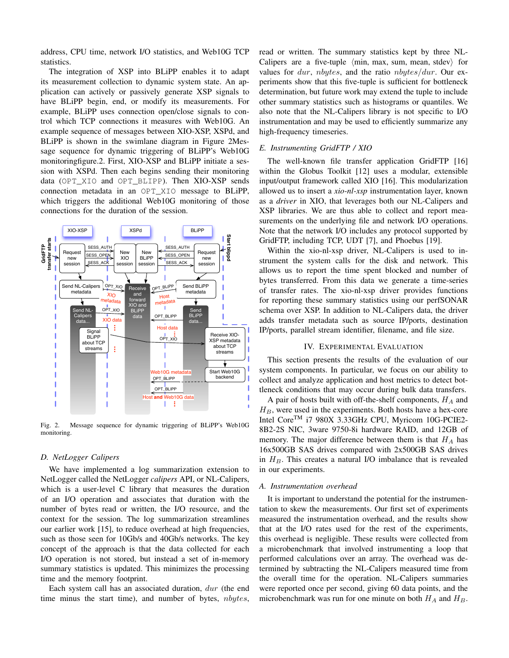address, CPU time, network I/O statistics, and Web10G TCP statistics.

The integration of XSP into BLiPP enables it to adapt its measurement collection to dynamic system state. An application can actively or passively generate XSP signals to have BLiPP begin, end, or modify its measurements. For example, BLiPP uses connection open/close signals to control which TCP connections it measures with Web10G. An example sequence of messages between XIO-XSP, XSPd, and BLiPP is shown in the swimlane diagram in Figure 2Message sequence for dynamic triggering of BLiPP's Web10G monitoringfigure.2. First, XIO-XSP and BLiPP initiate a session with XSPd. Then each begins sending their monitoring data (OPT\_XIO and OPT\_BLIPP). Then XIO-XSP sends connection metadata in an OPT\_XIO message to BLiPP, which triggers the additional Web10G monitoring of those connections for the duration of the session.



Fig. 2. Message sequence for dynamic triggering of BLiPP's Web10G monitoring.

## *D. NetLogger Calipers*

We have implemented a log summarization extension to NetLogger called the NetLogger *calipers* API, or NL-Calipers, which is a user-level C library that measures the duration of an I/O operation and associates that duration with the number of bytes read or written, the I/O resource, and the context for the session. The log summarization streamlines our earlier work [15], to reduce overhead at high frequencies, such as those seen for 10Gb/s and 40Gb/s networks. The key concept of the approach is that the data collected for each I/O operation is not stored, but instead a set of in-memory summary statistics is updated. This minimizes the processing time and the memory footprint.

Each system call has an associated duration, dur (the end time minus the start time), and number of bytes, *nbytes*,

read or written. The summary statistics kept by three NL-Calipers are a five-tuple  $\langle \text{min}, \text{max}, \text{sum}, \text{mean}, \text{sdev} \rangle$  for values for  $dur$ , nbytes, and the ratio nbytes/dur. Our experiments show that this five-tuple is sufficient for bottleneck determination, but future work may extend the tuple to include other summary statistics such as histograms or quantiles. We also note that the NL-Calipers library is not specific to I/O instrumentation and may be used to efficiently summarize any high-frequency timeseries.

## *E. Instrumenting GridFTP / XIO*

The well-known file transfer application GridFTP [16] within the Globus Toolkit [12] uses a modular, extensible input/output framework called XIO [16]. This modularization allowed us to insert a *xio-nl-xsp* instrumentation layer, known as a *driver* in XIO, that leverages both our NL-Calipers and XSP libraries. We are thus able to collect and report measurements on the underlying file and network I/O operations. Note that the network I/O includes any protocol supported by GridFTP, including TCP, UDT [7], and Phoebus [19].

Within the xio-nl-xsp driver, NL-Calipers is used to instrument the system calls for the disk and network. This allows us to report the time spent blocked and number of bytes transferred. From this data we generate a time-series of transfer rates. The xio-nl-xsp driver provides functions for reporting these summary statistics using our perfSONAR schema over XSP. In addition to NL-Calipers data, the driver adds transfer metadata such as source IP/ports, destination IP/ports, parallel stream identifier, filename, and file size.

## IV. EXPERIMENTAL EVALUATION

This section presents the results of the evaluation of our system components. In particular, we focus on our ability to collect and analyze application and host metrics to detect bottleneck conditions that may occur during bulk data transfers.

A pair of hosts built with off-the-shelf components,  $H_A$  and  $H_B$ , were used in the experiments. Both hosts have a hex-core Intel Core<sup>TM</sup> i7 980X 3.33GHz CPU, Myricom 10G-PCIE2-8B2-2S NIC, 3ware 9750-8i hardware RAID, and 12GB of memory. The major difference between them is that  $H_A$  has 16x500GB SAS drives compared with 2x500GB SAS drives in  $H_B$ . This creates a natural I/O imbalance that is revealed in our experiments.

# *A. Instrumentation overhead*

It is important to understand the potential for the instrumentation to skew the measurements. Our first set of experiments measured the instrumentation overhead, and the results show that at the I/O rates used for the rest of the experiments, this overhead is negligible. These results were collected from a microbenchmark that involved instrumenting a loop that performed calculations over an array. The overhead was determined by subtracting the NL-Calipers measured time from the overall time for the operation. NL-Calipers summaries were reported once per second, giving 60 data points, and the microbenchmark was run for one minute on both  $H_A$  and  $H_B$ .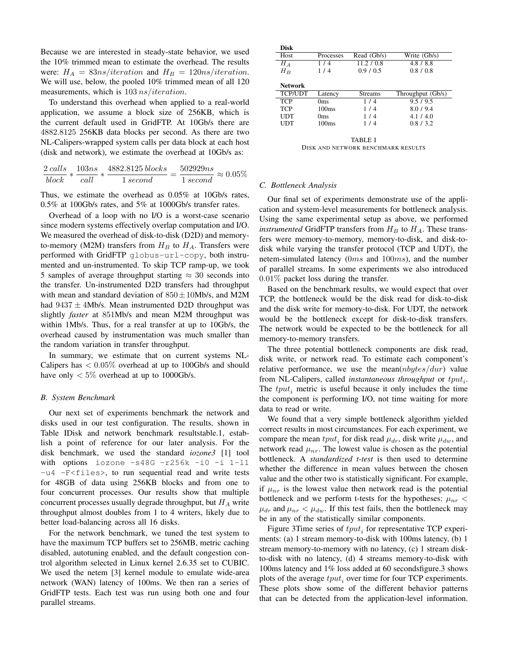Because we are interested in steady-state behavior, we used the 10% trimmed mean to estimate the overhead. The results were:  $H_A = 83ns/iteration$  and  $H_B = 120ns/iteration$ . We will use, below, the pooled 10% trimmed mean of all 120 measurements, which is  $103$  ns/iteration.

To understand this overhead when applied to a real-world application, we assume a block size of 256KB, which is the current default used in GridFTP. At 10Gb/s there are 4882.8125 256KB data blocks per second. As there are two NL-Calipers-wrapped system calls per data block at each host (disk and network), we estimate the overhead at 10Gb/s as:

$$
\frac{2\,cells}{block*}*\frac{103ns}{call}*\frac{4882.8125\,blocks}{1\,second}=\frac{502929ns}{1\,second}\approx 0.05\%
$$

Thus, we estimate the overhead as 0.05% at 10Gb/s rates, 0.5% at 100Gb/s rates, and 5% at 1000Gb/s transfer rates.

Overhead of a loop with no I/O is a worst-case scenario since modern systems effectively overlap computation and I/O. We measured the overhead of disk-to-disk (D2D) and memoryto-memory (M2M) transfers from  $H_B$  to  $H_A$ . Transfers were performed with GridFTP globus-url-copy, both instrumented and un-instrumented. To skip TCP ramp-up, we took 5 samples of average throughput starting  $\approx 30$  seconds into the transfer. Un-instrumented D2D transfers had throughput with mean and standard deviation of  $850 \pm 10$ Mb/s, and M2M had  $9437 \pm 4$ Mb/s. Mean instrumented D2D throughput was slightly *faster* at 851Mb/s and mean M2M throughput was within 1Mb/s. Thus, for a real transfer at up to 10Gb/s, the overhead caused by instrumentation was much smaller than the random variation in transfer throughput.

In summary, we estimate that on current systems NL-Calipers has  $< 0.05\%$  overhead at up to 100Gb/s and should have only  $< 5\%$  overhead at up to 1000Gb/s.

## *B. System Benchmark*

Our next set of experiments benchmark the network and disks used in our test configuration. The results, shown in Table IDisk and network benchmark resultstable.1, establish a point of reference for our later analysis. For the disk benchmark, we used the standard *iozone3* [1] tool with options iozone -s48G -r256k -i0 -i 1-l1  $-u4$  -F<files>, to run sequential read and write tests for 48GB of data using 256KB blocks and from one to four concurrent processes. Our results show that multiple concurrent processes usually degrade throughput, but  $H_A$  write throughput almost doubles from 1 to 4 writers, likely due to better load-balancing across all 16 disks.

For the network benchmark, we tuned the test system to have the maximum TCP buffers set to 256MB, metric caching disabled, autotuning enabled, and the default congestion control algorithm selected in Linux kernel 2.6.35 set to CUBIC. We used the netem [3] kernel module to emulate wide-area network (WAN) latency of 100ms. We then ran a series of GridFTP tests. Each test was run using both one and four parallel streams.

| <b>Disk</b>    |                   |                |                   |
|----------------|-------------------|----------------|-------------------|
| Host           | <b>Processes</b>  | Read (Gb/s)    | Write (Gb/s)      |
| $H_A$          | 1/4               | 11.2 / 0.8     | 4.8 / 8.8         |
| $H_B$          | 1/4               | 0.9/0.5        | 0.8 / 0.8         |
| Network        |                   |                |                   |
| <b>TCP/UDT</b> | Latency           | <b>Streams</b> | Throughput (Gb/s) |
| <b>TCP</b>     | Oms               | 1/4            | 9.5/9.5           |
| <b>TCP</b>     | 100 <sub>ms</sub> | 1/4            | 8.0/9.4           |
| UDT            | 0 <sub>ms</sub>   | 1/4            | 4.1/4.0           |
| UDT            | 100ms             | 1/4            | 0.8/3.2           |
|                |                   |                |                   |

TABLE I DISK AND NETWORK BENCHMARK RESULTS

## *C. Bottleneck Analysis*

Our final set of experiments demonstrate use of the application and system-level measurements for bottleneck analysis. Using the same experimental setup as above, we performed *instrumented* GridFTP transfers from  $H_B$  to  $H_A$ . These transfers were memory-to-memory, memory-to-disk, and disk-todisk while varying the transfer protocol (TCP and UDT), the netem-simulated latency (0ms and 100ms), and the number of parallel streams. In some experiments we also introduced 0.01% packet loss during the transfer.

Based on the benchmark results, we would expect that over TCP, the bottleneck would be the disk read for disk-to-disk and the disk write for memory-to-disk. For UDT, the network would be the bottleneck except for disk-to-disk transfers. The network would be expected to be the bottleneck for all memory-to-memory transfers.

The three potential bottleneck components are disk read, disk write, or network read. To estimate each component's relative performance, we use the mean $(nbytes/dur)$  value from NL-Calipers, called *instantaneous throughput* or  $tput_i$ . The  $tput_i$  metric is useful because it only includes the time the component is performing I/O, not time waiting for more data to read or write.

We found that a very simple bottleneck algorithm yielded correct results in most circumstances. For each experiment, we compare the mean  $tput_i$  for disk read  $\mu_{dr}$ , disk write  $\mu_{dw}$ , and network read  $\mu_{nr}$ . The lowest value is chosen as the potential bottleneck. A *standardized t-test* is then used to determine whether the difference in mean values between the chosen value and the other two is statistically significant. For example, if  $\mu_{nr}$  is the lowest value then network read is the potential bottleneck and we perform t-tests for the hypotheses:  $\mu_{nr}$  <  $\mu_{dr}$  and  $\mu_{nr} < \mu_{dw}$ . If this test fails, then the bottleneck may be in any of the statistically similar components.

Figure 3Time series of  $tput_i$  for representative TCP experiments: (a) 1 stream memory-to-disk with 100ms latency, (b) 1 stream memory-to-memory with no latency, (c) 1 stream diskto-disk with no latency, (d) 4 streams memory-to-disk with 100ms latency and 1% loss added at 60 secondsfigure.3 shows plots of the average  $tput_i$  over time for four TCP experiments. These plots show some of the different behavior patterns that can be detected from the application-level information.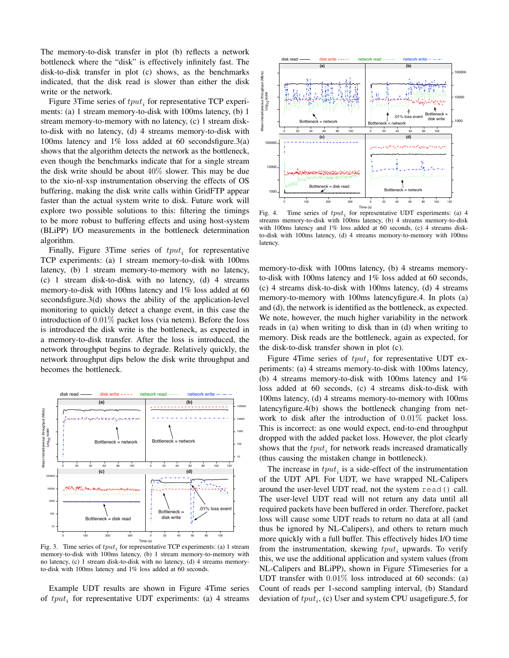The memory-to-disk transfer in plot (b) reflects a network bottleneck where the "disk" is effectively infinitely fast. The disk-to-disk transfer in plot (c) shows, as the benchmarks indicated, that the disk read is slower than either the disk write or the network.

Figure 3Time series of  $tput_i$  for representative TCP experiments: (a) 1 stream memory-to-disk with 100ms latency, (b) 1 stream memory-to-memory with no latency, (c) 1 stream diskto-disk with no latency, (d) 4 streams memory-to-disk with 100ms latency and 1% loss added at 60 secondsfigure.3(a) shows that the algorithm detects the network as the bottleneck, even though the benchmarks indicate that for a single stream the disk write should be about 40% slower. This may be due to the xio-nl-xsp instrumentation observing the effects of OS buffering, making the disk write calls within GridFTP appear faster than the actual system write to disk. Future work will explore two possible solutions to this: filtering the timings to be more robust to buffering effects and using host-system (BLiPP) I/O measurements in the bottleneck determination algorithm.

Finally, Figure 3Time series of  $tput_i$  for representative TCP experiments: (a) 1 stream memory-to-disk with 100ms latency, (b) 1 stream memory-to-memory with no latency, (c) 1 stream disk-to-disk with no latency, (d) 4 streams memory-to-disk with 100ms latency and 1% loss added at 60 secondsfigure.3(d) shows the ability of the application-level monitoring to quickly detect a change event, in this case the introduction of 0.01% packet loss (via netem). Before the loss is introduced the disk write is the bottleneck, as expected in a memory-to-disk transfer. After the loss is introduced, the network throughput begins to degrade. Relatively quickly, the network throughput dips below the disk write throughput and becomes the bottleneck.



Fig. 3. Time series of  $tput_i$  for representative TCP experiments: (a) 1 stream memory-to-disk with 100ms latency, (b) 1 stream memory-to-memory with no latency, (c) 1 stream disk-to-disk with no latency, (d) 4 streams memoryto-disk with 100ms latency and 1% loss added at 60 seconds.

Example UDT results are shown in Figure 4Time series of  $tput_i$  for representative UDT experiments: (a) 4 streams



Fig. 4. Time series of  $tput_i$  for representative UDT experiments: (a) 4 streams memory-to-disk with 100ms latency, (b) 4 streams memory-to-disk with 100ms latency and 1% loss added at 60 seconds, (c) 4 streams diskto-disk with 100ms latency, (d) 4 streams memory-to-memory with 100ms latency.

memory-to-disk with 100ms latency, (b) 4 streams memoryto-disk with 100ms latency and 1% loss added at 60 seconds, (c) 4 streams disk-to-disk with 100ms latency, (d) 4 streams memory-to-memory with 100ms latencyfigure.4. In plots (a) and (d), the network is identified as the bottleneck, as expected. We note, however, the much higher variability in the network reads in (a) when writing to disk than in (d) when writing to memory. Disk reads are the bottleneck, again as expected, for the disk-to-disk transfer shown in plot (c).

Figure 4Time series of  $tput_i$  for representative UDT experiments: (a) 4 streams memory-to-disk with 100ms latency, (b) 4 streams memory-to-disk with 100ms latency and 1% loss added at 60 seconds, (c) 4 streams disk-to-disk with 100ms latency, (d) 4 streams memory-to-memory with 100ms latencyfigure.4(b) shows the bottleneck changing from network to disk after the introduction of 0.01% packet loss. This is incorrect: as one would expect, end-to-end throughput dropped with the added packet loss. However, the plot clearly shows that the  $tput_i$  for network reads increased dramatically (thus causing the mistaken change in bottleneck).

The increase in  $tput_i$  is a side-effect of the instrumentation of the UDT API. For UDT, we have wrapped NL-Calipers around the user-level UDT read, not the system read() call. The user-level UDT read will not return any data until all required packets have been buffered in order. Therefore, packet loss will cause some UDT reads to return no data at all (and thus be ignored by NL-Calipers), and others to return much more quickly with a full buffer. This effectively hides I/O time from the instrumentation, skewing  $tput_i$  upwards. To verify this, we use the additional application and system values (from NL-Calipers and BLiPP), shown in Figure 5Timeseries for a UDT transfer with 0.01% loss introduced at 60 seconds: (a) Count of reads per 1-second sampling interval, (b) Standard deviation of  $tput_i$ , (c) User and system CPU usagefigure.5, for